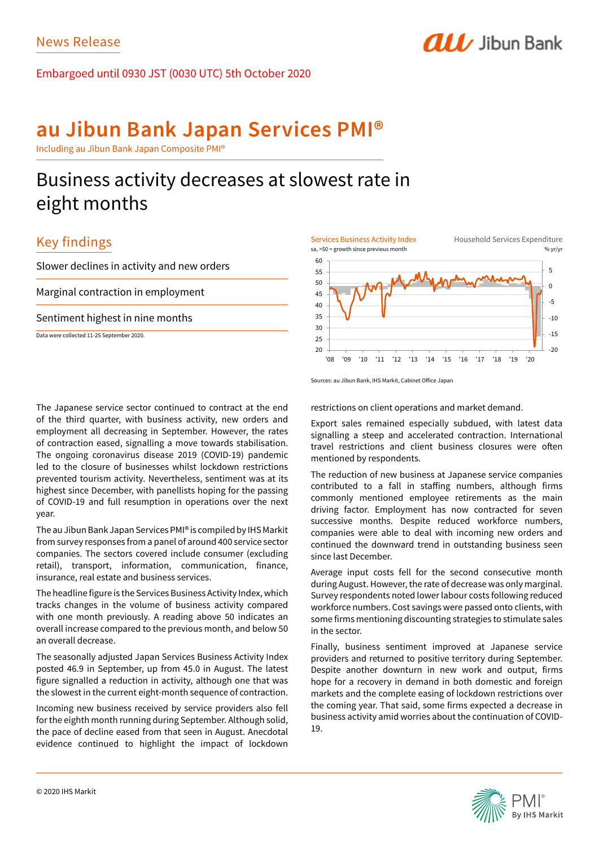Embargoed until 0930 JST (0030 UTC) 5th October 2020

# **au Jibun Bank Japan Services PMI®**

Including au Jibun Bank Japan Composite PMI®

# Business activity decreases at slowest rate in eight months

## Key findings

Slower declines in activity and new orders

Marginal contraction in employment

Sentiment highest in nine months

Data were collected 11-25 September 2020.

The Japanese service sector continued to contract at the end of the third quarter, with business activity, new orders and employment all decreasing in September. However, the rates of contraction eased, signalling a move towards stabilisation. The ongoing coronavirus disease 2019 (COVID-19) pandemic led to the closure of businesses whilst lockdown restrictions prevented tourism activity. Nevertheless, sentiment was at its highest since December, with panellists hoping for the passing of COVID-19 and full resumption in operations over the next year.

The au Jibun Bank Japan Services PMI® is compiled by IHS Markit from survey responses from a panel of around 400 service sector companies. The sectors covered include consumer (excluding retail), transport, information, communication, finance, insurance, real estate and business services.

The headline figure is the Services Business Activity Index, which tracks changes in the volume of business activity compared with one month previously. A reading above 50 indicates an overall increase compared to the previous month, and below 50 an overall decrease.

The seasonally adjusted Japan Services Business Activity Index posted 46.9 in September, up from 45.0 in August. The latest figure signalled a reduction in activity, although one that was the slowest in the current eight-month sequence of contraction.

Incoming new business received by service providers also fell for the eighth month running during September. Although solid, the pace of decline eased from that seen in August. Anecdotal evidence continued to highlight the impact of lockdown



**ALL** Jibun Bank

Sources: au Jibun Bank, IHS Markit, Cabinet Office Japan

restrictions on client operations and market demand.

Export sales remained especially subdued, with latest data signalling a steep and accelerated contraction. International travel restrictions and client business closures were often mentioned by respondents.

The reduction of new business at Japanese service companies contributed to a fall in staffing numbers, although firms commonly mentioned employee retirements as the main driving factor. Employment has now contracted for seven successive months. Despite reduced workforce numbers, companies were able to deal with incoming new orders and continued the downward trend in outstanding business seen since last December.

Average input costs fell for the second consecutive month during August. However, the rate of decrease was only marginal. Survey respondents noted lower labour costs following reduced workforce numbers. Cost savings were passed onto clients, with some firms mentioning discounting strategies to stimulate sales in the sector.

Finally, business sentiment improved at Japanese service providers and returned to positive territory during September. Despite another downturn in new work and output, firms hope for a recovery in demand in both domestic and foreign markets and the complete easing of lockdown restrictions over the coming year. That said, some firms expected a decrease in business activity amid worries about the continuation of COVID-19.

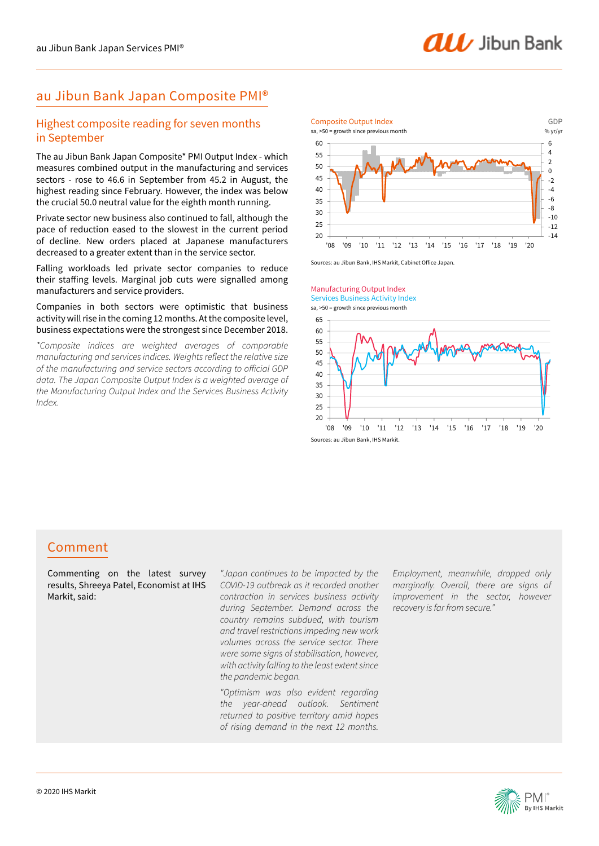## au Jibun Bank Japan Composite PMI®

### Highest composite reading for seven months in September

The au Jibun Bank Japan Composite\* PMI Output Index - which measures combined output in the manufacturing and services sectors - rose to 46.6 in September from 45.2 in August, the highest reading since February. However, the index was below the crucial 50.0 neutral value for the eighth month running.

Private sector new business also continued to fall, although the pace of reduction eased to the slowest in the current period of decline. New orders placed at Japanese manufacturers decreased to a greater extent than in the service sector.

Falling workloads led private sector companies to reduce their staffing levels. Marginal job cuts were signalled among manufacturers and service providers.

### Companies in both sectors were optimistic that business activity will rise in the coming 12 months. At the composite level, business expectations were the strongest since December 2018.

*\*Composite indices are weighted averages of comparable manufacturing and services indices. Weights reflect the relative size of the manufacturing and service sectors according to official GDP data. The Japan Composite Output Index is a weighted average of the Manufacturing Output Index and the Services Business Activity Index.*



Sources: au Jibun Bank, IHS Markit, Cabinet Office Japan.





## Comment

Commenting on the latest survey results, Shreeya Patel, Economist at IHS Markit, said:

*"Japan continues to be impacted by the COVID-19 outbreak as it recorded another contraction in services business activity during September. Demand across the country remains subdued, with tourism and travel restrictions impeding new work volumes across the service sector. There were some signs of stabilisation, however, with activity falling to the least extent since the pandemic began.*

*"Optimism was also evident regarding the year-ahead outlook. Sentiment returned to positive territory amid hopes of rising demand in the next 12 months.* 

*Employment, meanwhile, dropped only marginally. Overall, there are signs of improvement in the sector, however recovery is far from secure."*